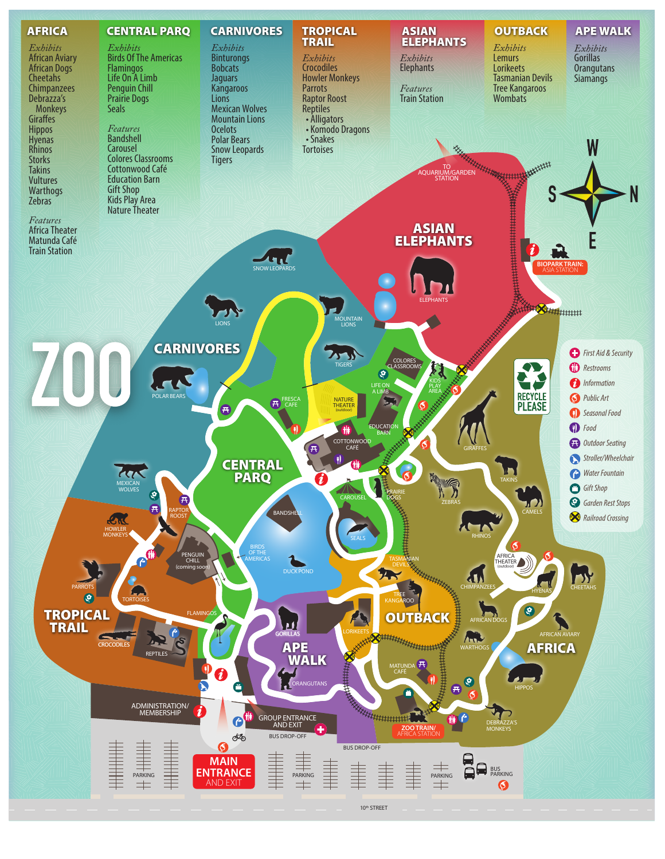